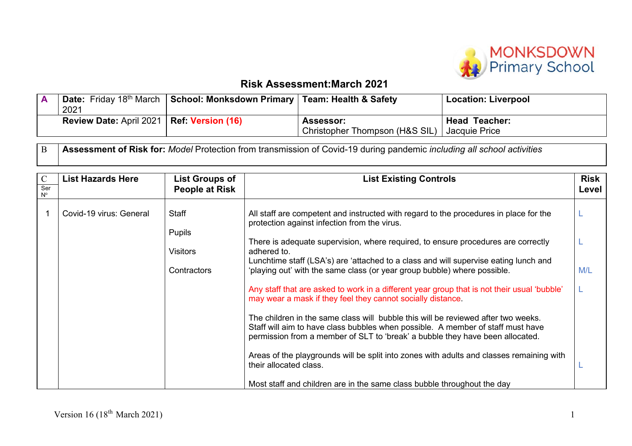

## **Risk Assessment:March 2021**

| 2021                                               | Date: Friday 18 <sup>th</sup> March   School: Monksdown Primary   Team: Health & Safety |                                             | <b>Location: Liverpool</b>               |
|----------------------------------------------------|-----------------------------------------------------------------------------------------|---------------------------------------------|------------------------------------------|
| <b>Review Date: April 2021   Ref: Version (16)</b> |                                                                                         | Assessor:<br>Christopher Thompson (H&S SIL) | <b>Head Teacher:</b><br>  Jacquie Price_ |

B **Assessment of Risk for:** *Model* Protection from transmission of Covid-19 during pandemic *including all school activities*

| $\mathbf C$        | <b>List Hazards Here</b> | <b>List Groups of</b>         | <b>List Existing Controls</b>                                                                                                                                                                                                                         | <b>Risk</b> |
|--------------------|--------------------------|-------------------------------|-------------------------------------------------------------------------------------------------------------------------------------------------------------------------------------------------------------------------------------------------------|-------------|
| Ser<br>$N^{\circ}$ |                          | People at Risk                |                                                                                                                                                                                                                                                       | Level       |
|                    | Covid-19 virus: General  | <b>Staff</b><br><b>Pupils</b> | All staff are competent and instructed with regard to the procedures in place for the<br>protection against infection from the virus.                                                                                                                 |             |
|                    |                          | <b>Visitors</b>               | There is adequate supervision, where required, to ensure procedures are correctly<br>adhered to.                                                                                                                                                      |             |
|                    |                          | Contractors                   | Lunchtime staff (LSA's) are 'attached to a class and will supervise eating lunch and<br>'playing out' with the same class (or year group bubble) where possible.                                                                                      | M/L         |
|                    |                          |                               | Any staff that are asked to work in a different year group that is not their usual 'bubble'<br>may wear a mask if they feel they cannot socially distance.                                                                                            |             |
|                    |                          |                               | The children in the same class will bubble this will be reviewed after two weeks.<br>Staff will aim to have class bubbles when possible. A member of staff must have<br>permission from a member of SLT to 'break' a bubble they have been allocated. |             |
|                    |                          |                               | Areas of the playgrounds will be split into zones with adults and classes remaining with<br>their allocated class.                                                                                                                                    |             |
|                    |                          |                               | Most staff and children are in the same class bubble throughout the day                                                                                                                                                                               |             |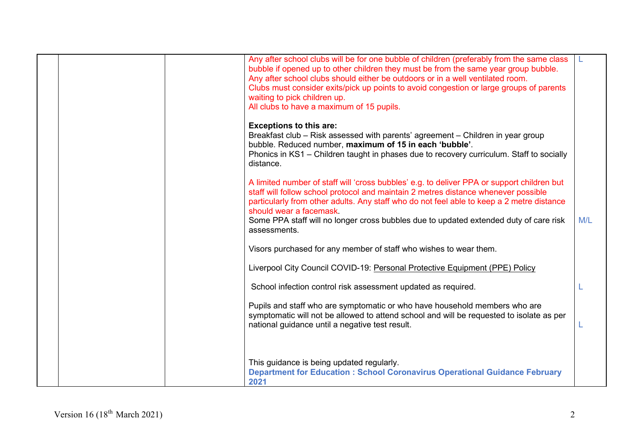|  | Any after school clubs will be for one bubble of children (preferably from the same class<br>bubble if opened up to other children they must be from the same year group bubble.<br>Any after school clubs should either be outdoors or in a well ventilated room.<br>Clubs must consider exits/pick up points to avoid congestion or large groups of parents<br>waiting to pick children up.<br>All clubs to have a maximum of 15 pupils. |     |
|--|--------------------------------------------------------------------------------------------------------------------------------------------------------------------------------------------------------------------------------------------------------------------------------------------------------------------------------------------------------------------------------------------------------------------------------------------|-----|
|  | <b>Exceptions to this are:</b><br>Breakfast club – Risk assessed with parents' agreement – Children in year group<br>bubble. Reduced number, maximum of 15 in each 'bubble'.<br>Phonics in KS1 – Children taught in phases due to recovery curriculum. Staff to socially<br>distance.                                                                                                                                                      |     |
|  | A limited number of staff will 'cross bubbles' e.g. to deliver PPA or support children but<br>staff will follow school protocol and maintain 2 metres distance whenever possible<br>particularly from other adults. Any staff who do not feel able to keep a 2 metre distance<br>should wear a facemask<br>Some PPA staff will no longer cross bubbles due to updated extended duty of care risk<br>assessments.                           | M/L |
|  | Visors purchased for any member of staff who wishes to wear them.                                                                                                                                                                                                                                                                                                                                                                          |     |
|  | Liverpool City Council COVID-19: Personal Protective Equipment (PPE) Policy                                                                                                                                                                                                                                                                                                                                                                |     |
|  | School infection control risk assessment updated as required.                                                                                                                                                                                                                                                                                                                                                                              |     |
|  | Pupils and staff who are symptomatic or who have household members who are<br>symptomatic will not be allowed to attend school and will be requested to isolate as per<br>national guidance until a negative test result.                                                                                                                                                                                                                  |     |
|  | This guidance is being updated regularly.<br><b>Department for Education: School Coronavirus Operational Guidance February</b><br>2021                                                                                                                                                                                                                                                                                                     |     |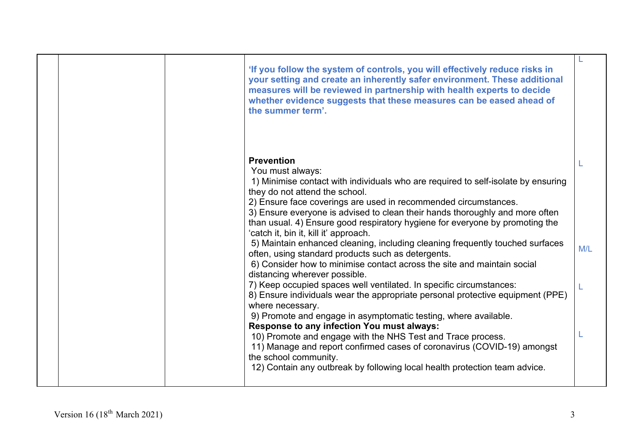|  | 'If you follow the system of controls, you will effectively reduce risks in<br>your setting and create an inherently safer environment. These additional<br>measures will be reviewed in partnership with health experts to decide<br>whether evidence suggests that these measures can be eased ahead of<br>the summer term'.                                                                                                                                                                                                                                                                                                                                                                                                                                                                                                                                                                                                                                                                                                                                                                                                                                                                                                             |     |
|--|--------------------------------------------------------------------------------------------------------------------------------------------------------------------------------------------------------------------------------------------------------------------------------------------------------------------------------------------------------------------------------------------------------------------------------------------------------------------------------------------------------------------------------------------------------------------------------------------------------------------------------------------------------------------------------------------------------------------------------------------------------------------------------------------------------------------------------------------------------------------------------------------------------------------------------------------------------------------------------------------------------------------------------------------------------------------------------------------------------------------------------------------------------------------------------------------------------------------------------------------|-----|
|  | <b>Prevention</b><br>You must always:<br>1) Minimise contact with individuals who are required to self-isolate by ensuring<br>they do not attend the school.<br>2) Ensure face coverings are used in recommended circumstances.<br>3) Ensure everyone is advised to clean their hands thoroughly and more often<br>than usual. 4) Ensure good respiratory hygiene for everyone by promoting the<br>'catch it, bin it, kill it' approach.<br>5) Maintain enhanced cleaning, including cleaning frequently touched surfaces<br>often, using standard products such as detergents.<br>6) Consider how to minimise contact across the site and maintain social<br>distancing wherever possible.<br>7) Keep occupied spaces well ventilated. In specific circumstances:<br>8) Ensure individuals wear the appropriate personal protective equipment (PPE)<br>where necessary.<br>9) Promote and engage in asymptomatic testing, where available.<br>Response to any infection You must always:<br>10) Promote and engage with the NHS Test and Trace process.<br>11) Manage and report confirmed cases of coronavirus (COVID-19) amongst<br>the school community.<br>12) Contain any outbreak by following local health protection team advice. | M/L |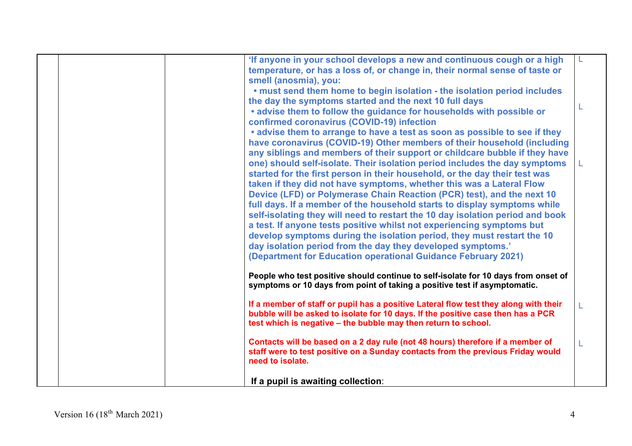|  | 'If anyone in your school develops a new and continuous cough or a high              |  |
|--|--------------------------------------------------------------------------------------|--|
|  | temperature, or has a loss of, or change in, their normal sense of taste or          |  |
|  | smell (anosmia), you:                                                                |  |
|  | . must send them home to begin isolation - the isolation period includes             |  |
|  | the day the symptoms started and the next 10 full days                               |  |
|  | . advise them to follow the guidance for households with possible or                 |  |
|  | confirmed coronavirus (COVID-19) infection                                           |  |
|  | • advise them to arrange to have a test as soon as possible to see if they           |  |
|  | have coronavirus (COVID-19) Other members of their household (including              |  |
|  | any siblings and members of their support or childcare bubble if they have           |  |
|  | one) should self-isolate. Their isolation period includes the day symptoms           |  |
|  | started for the first person in their household, or the day their test was           |  |
|  | taken if they did not have symptoms, whether this was a Lateral Flow                 |  |
|  | Device (LFD) or Polymerase Chain Reaction (PCR) test), and the next 10               |  |
|  | full days. If a member of the household starts to display symptoms while             |  |
|  | self-isolating they will need to restart the 10 day isolation period and book        |  |
|  | a test. If anyone tests positive whilst not experiencing symptoms but                |  |
|  | develop symptoms during the isolation period, they must restart the 10               |  |
|  | day isolation period from the day they developed symptoms.'                          |  |
|  | (Department for Education operational Guidance February 2021)                        |  |
|  |                                                                                      |  |
|  | People who test positive should continue to self-isolate for 10 days from onset of   |  |
|  | symptoms or 10 days from point of taking a positive test if asymptomatic.            |  |
|  | If a member of staff or pupil has a positive Lateral flow test they along with their |  |
|  | bubble will be asked to isolate for 10 days. If the positive case then has a PCR     |  |
|  | test which is negative – the bubble may then return to school.                       |  |
|  |                                                                                      |  |
|  | Contacts will be based on a 2 day rule (not 48 hours) therefore if a member of       |  |
|  | staff were to test positive on a Sunday contacts from the previous Friday would      |  |
|  | need to isolate.                                                                     |  |
|  |                                                                                      |  |
|  | If a pupil is awaiting collection:                                                   |  |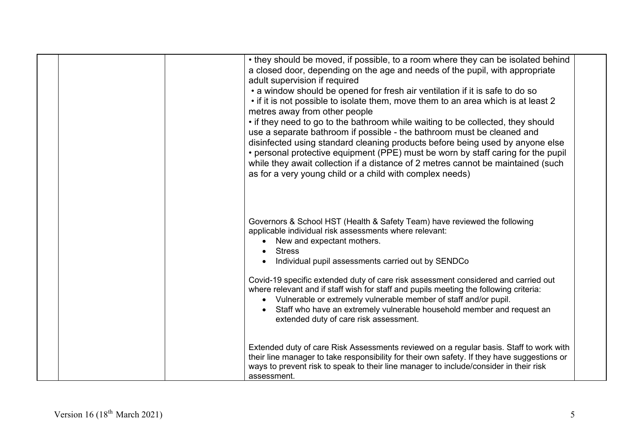| • they should be moved, if possible, to a room where they can be isolated behind<br>a closed door, depending on the age and needs of the pupil, with appropriate<br>adult supervision if required<br>• a window should be opened for fresh air ventilation if it is safe to do so<br>• if it is not possible to isolate them, move them to an area which is at least 2<br>metres away from other people<br>• if they need to go to the bathroom while waiting to be collected, they should<br>use a separate bathroom if possible - the bathroom must be cleaned and<br>disinfected using standard cleaning products before being used by anyone else<br>• personal protective equipment (PPE) must be worn by staff caring for the pupil<br>while they await collection if a distance of 2 metres cannot be maintained (such<br>as for a very young child or a child with complex needs) |  |
|-------------------------------------------------------------------------------------------------------------------------------------------------------------------------------------------------------------------------------------------------------------------------------------------------------------------------------------------------------------------------------------------------------------------------------------------------------------------------------------------------------------------------------------------------------------------------------------------------------------------------------------------------------------------------------------------------------------------------------------------------------------------------------------------------------------------------------------------------------------------------------------------|--|
| Governors & School HST (Health & Safety Team) have reviewed the following<br>applicable individual risk assessments where relevant:<br>New and expectant mothers.<br><b>Stress</b><br>Individual pupil assessments carried out by SENDCo<br>Covid-19 specific extended duty of care risk assessment considered and carried out<br>where relevant and if staff wish for staff and pupils meeting the following criteria:<br>Vulnerable or extremely vulnerable member of staff and/or pupil.<br>Staff who have an extremely vulnerable household member and request an<br>extended duty of care risk assessment.                                                                                                                                                                                                                                                                           |  |
| Extended duty of care Risk Assessments reviewed on a regular basis. Staff to work with<br>their line manager to take responsibility for their own safety. If they have suggestions or<br>ways to prevent risk to speak to their line manager to include/consider in their risk<br>assessment.                                                                                                                                                                                                                                                                                                                                                                                                                                                                                                                                                                                             |  |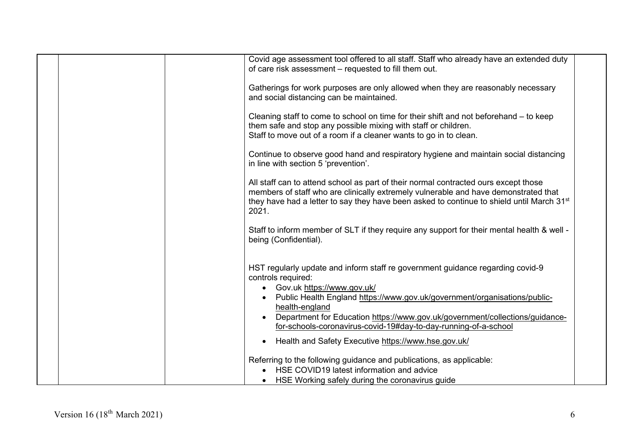|  | Covid age assessment tool offered to all staff. Staff who already have an extended duty<br>of care risk assessment - requested to fill them out.                                                                                                                                                                                                                                                                                              |
|--|-----------------------------------------------------------------------------------------------------------------------------------------------------------------------------------------------------------------------------------------------------------------------------------------------------------------------------------------------------------------------------------------------------------------------------------------------|
|  | Gatherings for work purposes are only allowed when they are reasonably necessary<br>and social distancing can be maintained.                                                                                                                                                                                                                                                                                                                  |
|  | Cleaning staff to come to school on time for their shift and not beforehand – to keep<br>them safe and stop any possible mixing with staff or children.<br>Staff to move out of a room if a cleaner wants to go in to clean.                                                                                                                                                                                                                  |
|  | Continue to observe good hand and respiratory hygiene and maintain social distancing<br>in line with section 5 'prevention'.                                                                                                                                                                                                                                                                                                                  |
|  | All staff can to attend school as part of their normal contracted ours except those<br>members of staff who are clinically extremely vulnerable and have demonstrated that<br>they have had a letter to say they have been asked to continue to shield until March 31 <sup>st</sup><br>2021.                                                                                                                                                  |
|  | Staff to inform member of SLT if they require any support for their mental health & well -<br>being (Confidential).                                                                                                                                                                                                                                                                                                                           |
|  | HST regularly update and inform staff re government guidance regarding covid-9<br>controls required:<br>• Gov.uk https://www.gov.uk/<br>Public Health England https://www.gov.uk/government/organisations/public-<br>health-england<br>Department for Education https://www.gov.uk/government/collections/guidance-<br>for-schools-coronavirus-covid-19#day-to-day-running-of-a-school<br>Health and Safety Executive https://www.hse.gov.uk/ |
|  | Referring to the following guidance and publications, as applicable:<br>HSE COVID19 latest information and advice<br>HSE Working safely during the coronavirus guide                                                                                                                                                                                                                                                                          |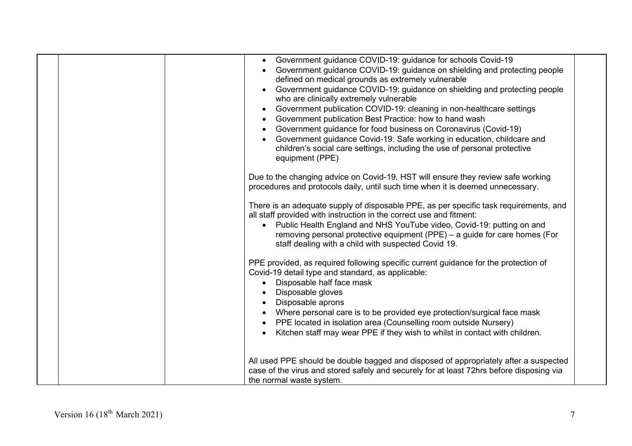|  | • Government guidance COVID-19: guidance for schools Covid-19<br>Government guidance COVID-19: guidance on shielding and protecting people<br>defined on medical grounds as extremely vulnerable<br>Government guidance COVID-19: guidance on shielding and protecting people<br>who are clinically extremely vulnerable<br>Government publication COVID-19: cleaning in non-healthcare settings<br>$\bullet$<br>Government publication Best Practice: how to hand wash<br>Government guidance for food business on Coronavirus (Covid-19)<br>Government guidance Covid-19: Safe working in education, childcare and<br>children's social care settings, including the use of personal protective<br>equipment (PPE) |
|--|----------------------------------------------------------------------------------------------------------------------------------------------------------------------------------------------------------------------------------------------------------------------------------------------------------------------------------------------------------------------------------------------------------------------------------------------------------------------------------------------------------------------------------------------------------------------------------------------------------------------------------------------------------------------------------------------------------------------|
|  | Due to the changing advice on Covid-19, HST will ensure they review safe working<br>procedures and protocols daily, until such time when it is deemed unnecessary.                                                                                                                                                                                                                                                                                                                                                                                                                                                                                                                                                   |
|  | There is an adequate supply of disposable PPE, as per specific task requirements, and<br>all staff provided with instruction in the correct use and fitment:<br>Public Health England and NHS YouTube video, Covid-19: putting on and<br>$\bullet$<br>removing personal protective equipment (PPE) - a guide for care homes (For<br>staff dealing with a child with suspected Covid 19.                                                                                                                                                                                                                                                                                                                              |
|  | PPE provided, as required following specific current guidance for the protection of<br>Covid-19 detail type and standard, as applicable:<br>Disposable half face mask<br>Disposable gloves<br>Disposable aprons<br>Where personal care is to be provided eye protection/surgical face mask<br>PPE located in isolation area (Counselling room outside Nursery)<br>Kitchen staff may wear PPE if they wish to whilst in contact with children.                                                                                                                                                                                                                                                                        |
|  | All used PPE should be double bagged and disposed of appropriately after a suspected<br>case of the virus and stored safely and securely for at least 72hrs before disposing via<br>the normal waste system.                                                                                                                                                                                                                                                                                                                                                                                                                                                                                                         |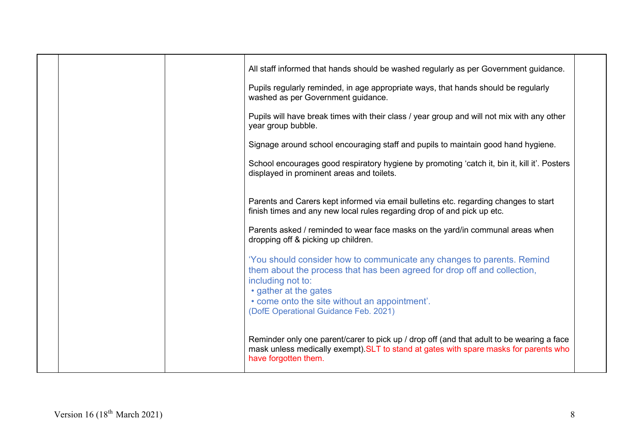|  | All staff informed that hands should be washed regularly as per Government guidance.<br>Pupils regularly reminded, in age appropriate ways, that hands should be regularly                                 |  |
|--|------------------------------------------------------------------------------------------------------------------------------------------------------------------------------------------------------------|--|
|  | washed as per Government guidance.                                                                                                                                                                         |  |
|  | Pupils will have break times with their class / year group and will not mix with any other<br>year group bubble.                                                                                           |  |
|  | Signage around school encouraging staff and pupils to maintain good hand hygiene.                                                                                                                          |  |
|  | School encourages good respiratory hygiene by promoting 'catch it, bin it, kill it'. Posters<br>displayed in prominent areas and toilets.                                                                  |  |
|  | Parents and Carers kept informed via email bulletins etc. regarding changes to start<br>finish times and any new local rules regarding drop of and pick up etc.                                            |  |
|  | Parents asked / reminded to wear face masks on the yard/in communal areas when<br>dropping off & picking up children.                                                                                      |  |
|  | 'You should consider how to communicate any changes to parents. Remind<br>them about the process that has been agreed for drop off and collection,                                                         |  |
|  | including not to:                                                                                                                                                                                          |  |
|  | • gather at the gates<br>• come onto the site without an appointment'.                                                                                                                                     |  |
|  | (DofE Operational Guidance Feb. 2021)                                                                                                                                                                      |  |
|  | Reminder only one parent/carer to pick up / drop off (and that adult to be wearing a face<br>mask unless medically exempt). SLT to stand at gates with spare masks for parents who<br>have forgotten them. |  |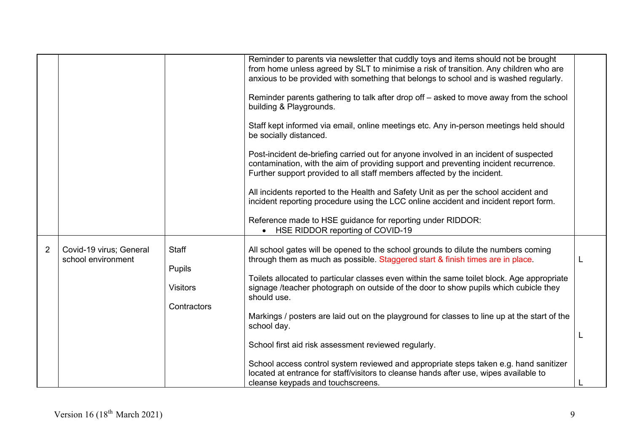|                |                                               |                                                          | Reminder to parents via newsletter that cuddly toys and items should not be brought<br>from home unless agreed by SLT to minimise a risk of transition. Any children who are<br>anxious to be provided with something that belongs to school and is washed regularly.<br>Reminder parents gathering to talk after drop off – asked to move away from the school<br>building & Playgrounds.<br>Staff kept informed via email, online meetings etc. Any in-person meetings held should<br>be socially distanced.<br>Post-incident de-briefing carried out for anyone involved in an incident of suspected<br>contamination, with the aim of providing support and preventing incident recurrence.<br>Further support provided to all staff members affected by the incident.<br>All incidents reported to the Health and Safety Unit as per the school accident and<br>incident reporting procedure using the LCC online accident and incident report form. |  |
|----------------|-----------------------------------------------|----------------------------------------------------------|-----------------------------------------------------------------------------------------------------------------------------------------------------------------------------------------------------------------------------------------------------------------------------------------------------------------------------------------------------------------------------------------------------------------------------------------------------------------------------------------------------------------------------------------------------------------------------------------------------------------------------------------------------------------------------------------------------------------------------------------------------------------------------------------------------------------------------------------------------------------------------------------------------------------------------------------------------------|--|
|                |                                               |                                                          | Reference made to HSE guidance for reporting under RIDDOR:<br>HSE RIDDOR reporting of COVID-19                                                                                                                                                                                                                                                                                                                                                                                                                                                                                                                                                                                                                                                                                                                                                                                                                                                            |  |
| $\overline{2}$ | Covid-19 virus; General<br>school environment | <b>Staff</b><br>Pupils<br><b>Visitors</b><br>Contractors | All school gates will be opened to the school grounds to dilute the numbers coming<br>through them as much as possible. Staggered start & finish times are in place.<br>Toilets allocated to particular classes even within the same toilet block. Age appropriate<br>signage /teacher photograph on outside of the door to show pupils which cubicle they<br>should use.<br>Markings / posters are laid out on the playground for classes to line up at the start of the<br>school day.                                                                                                                                                                                                                                                                                                                                                                                                                                                                  |  |
|                |                                               |                                                          | School first aid risk assessment reviewed regularly.                                                                                                                                                                                                                                                                                                                                                                                                                                                                                                                                                                                                                                                                                                                                                                                                                                                                                                      |  |
|                |                                               |                                                          | School access control system reviewed and appropriate steps taken e.g. hand sanitizer<br>located at entrance for staff/visitors to cleanse hands after use, wipes available to<br>cleanse keypads and touchscreens.                                                                                                                                                                                                                                                                                                                                                                                                                                                                                                                                                                                                                                                                                                                                       |  |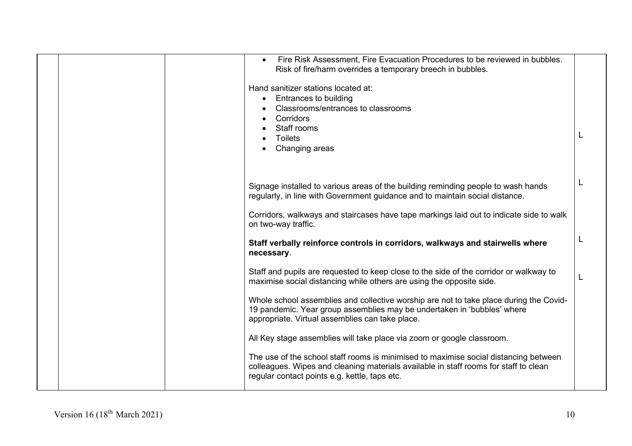|  | Fire Risk Assessment, Fire Evacuation Procedures to be reviewed in bubbles.<br>Risk of fire/harm overrides a temporary breech in bubbles.<br>Hand sanitizer stations located at:<br>Entrances to building<br>Classrooms/entrances to classrooms<br>Corridors<br>Staff rooms<br><b>Toilets</b><br>Changing areas |  |
|--|-----------------------------------------------------------------------------------------------------------------------------------------------------------------------------------------------------------------------------------------------------------------------------------------------------------------|--|
|  | Signage installed to various areas of the building reminding people to wash hands<br>regularly, in line with Government guidance and to maintain social distance.                                                                                                                                               |  |
|  | Corridors, walkways and staircases have tape markings laid out to indicate side to walk<br>on two-way traffic.                                                                                                                                                                                                  |  |
|  | Staff verbally reinforce controls in corridors, walkways and stairwells where<br>necessary.                                                                                                                                                                                                                     |  |
|  | Staff and pupils are requested to keep close to the side of the corridor or walkway to<br>maximise social distancing while others are using the opposite side.                                                                                                                                                  |  |
|  | Whole school assemblies and collective worship are not to take place during the Covid-<br>19 pandemic. Year group assemblies may be undertaken in 'bubbles' where<br>appropriate. Virtual assemblies can take place.                                                                                            |  |
|  | All Key stage assemblies will take place via zoom or google classroom.                                                                                                                                                                                                                                          |  |
|  | The use of the school staff rooms is minimised to maximise social distancing between<br>colleagues. Wipes and cleaning materials available in staff rooms for staff to clean<br>regular contact points e.g. kettle, taps etc.                                                                                   |  |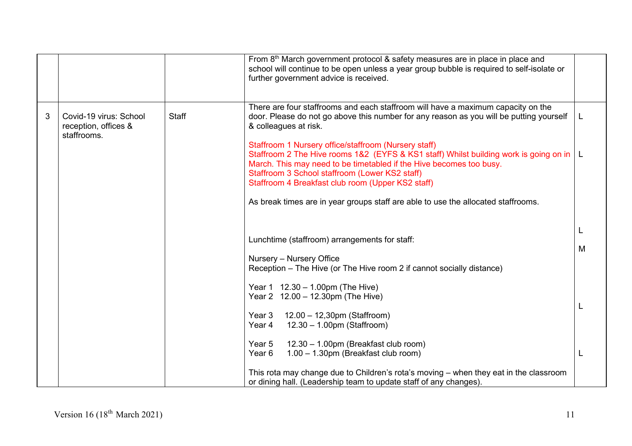|   |                                                               |              | From 8 <sup>th</sup> March government protocol & safety measures are in place in place and<br>school will continue to be open unless a year group bubble is required to self-isolate or<br>further government advice is received.                                                                                               |   |
|---|---------------------------------------------------------------|--------------|---------------------------------------------------------------------------------------------------------------------------------------------------------------------------------------------------------------------------------------------------------------------------------------------------------------------------------|---|
| 3 | Covid-19 virus: School<br>reception, offices &<br>staffrooms. | <b>Staff</b> | There are four staffrooms and each staffroom will have a maximum capacity on the<br>door. Please do not go above this number for any reason as you will be putting yourself<br>& colleagues at risk.                                                                                                                            | L |
|   |                                                               |              | Staffroom 1 Nursery office/staffroom (Nursery staff)<br>Staffroom 2 The Hive rooms 1&2 (EYFS & KS1 staff) Whilst building work is going on in   L<br>March. This may need to be timetabled if the Hive becomes too busy.<br>Staffroom 3 School staffroom (Lower KS2 staff)<br>Staffroom 4 Breakfast club room (Upper KS2 staff) |   |
|   |                                                               |              | As break times are in year groups staff are able to use the allocated staffrooms.                                                                                                                                                                                                                                               |   |
|   |                                                               |              | Lunchtime (staffroom) arrangements for staff:<br>Nursery - Nursery Office                                                                                                                                                                                                                                                       | M |
|   |                                                               |              | Reception - The Hive (or The Hive room 2 if cannot socially distance)                                                                                                                                                                                                                                                           |   |
|   |                                                               |              | Year $1 \quad 12.30 - 1.00 \text{pm}$ (The Hive)<br>Year 2 12.00 - 12.30pm (The Hive)                                                                                                                                                                                                                                           |   |
|   |                                                               |              | Year 3<br>12.00 - 12,30pm (Staffroom)<br>12.30 - 1.00pm (Staffroom)<br>Year 4                                                                                                                                                                                                                                                   |   |
|   |                                                               |              | 12.30 - 1.00pm (Breakfast club room)<br>Year 5<br>1.00 - 1.30pm (Breakfast club room)<br>Year 6                                                                                                                                                                                                                                 |   |
|   |                                                               |              | This rota may change due to Children's rota's moving - when they eat in the classroom<br>or dining hall. (Leadership team to update staff of any changes).                                                                                                                                                                      |   |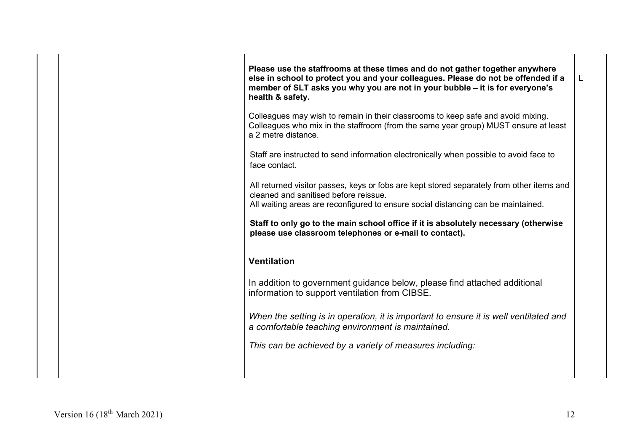|  | Please use the staffrooms at these times and do not gather together anywhere<br>else in school to protect you and your colleagues. Please do not be offended if a<br>member of SLT asks you why you are not in your bubble - it is for everyone's<br>health & safety. | L |
|--|-----------------------------------------------------------------------------------------------------------------------------------------------------------------------------------------------------------------------------------------------------------------------|---|
|  | Colleagues may wish to remain in their classrooms to keep safe and avoid mixing.<br>Colleagues who mix in the staffroom (from the same year group) MUST ensure at least<br>a 2 metre distance.                                                                        |   |
|  | Staff are instructed to send information electronically when possible to avoid face to<br>face contact.                                                                                                                                                               |   |
|  | All returned visitor passes, keys or fobs are kept stored separately from other items and<br>cleaned and sanitised before reissue.<br>All waiting areas are reconfigured to ensure social distancing can be maintained.                                               |   |
|  | Staff to only go to the main school office if it is absolutely necessary (otherwise<br>please use classroom telephones or e-mail to contact).                                                                                                                         |   |
|  | <b>Ventilation</b>                                                                                                                                                                                                                                                    |   |
|  | In addition to government guidance below, please find attached additional<br>information to support ventilation from CIBSE.                                                                                                                                           |   |
|  | When the setting is in operation, it is important to ensure it is well ventilated and<br>a comfortable teaching environment is maintained.                                                                                                                            |   |
|  | This can be achieved by a variety of measures including:                                                                                                                                                                                                              |   |
|  |                                                                                                                                                                                                                                                                       |   |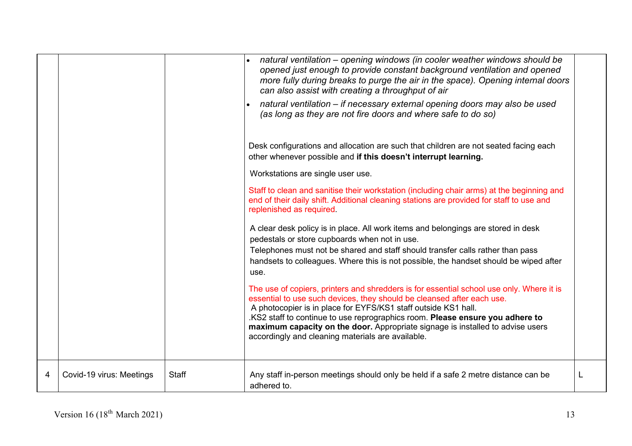|   |                          |              | natural ventilation – opening windows (in cooler weather windows should be<br>opened just enough to provide constant background ventilation and opened<br>more fully during breaks to purge the air in the space). Opening internal doors<br>can also assist with creating a throughput of air                                                                                                                                                               |   |
|---|--------------------------|--------------|--------------------------------------------------------------------------------------------------------------------------------------------------------------------------------------------------------------------------------------------------------------------------------------------------------------------------------------------------------------------------------------------------------------------------------------------------------------|---|
|   |                          |              | natural ventilation – if necessary external opening doors may also be used<br>(as long as they are not fire doors and where safe to do so)                                                                                                                                                                                                                                                                                                                   |   |
|   |                          |              | Desk configurations and allocation are such that children are not seated facing each<br>other whenever possible and if this doesn't interrupt learning.                                                                                                                                                                                                                                                                                                      |   |
|   |                          |              | Workstations are single user use.                                                                                                                                                                                                                                                                                                                                                                                                                            |   |
|   |                          |              | Staff to clean and sanitise their workstation (including chair arms) at the beginning and<br>end of their daily shift. Additional cleaning stations are provided for staff to use and<br>replenished as required.                                                                                                                                                                                                                                            |   |
|   |                          |              | A clear desk policy is in place. All work items and belongings are stored in desk<br>pedestals or store cupboards when not in use.                                                                                                                                                                                                                                                                                                                           |   |
|   |                          |              | Telephones must not be shared and staff should transfer calls rather than pass<br>handsets to colleagues. Where this is not possible, the handset should be wiped after<br>use.                                                                                                                                                                                                                                                                              |   |
|   |                          |              | The use of copiers, printers and shredders is for essential school use only. Where it is<br>essential to use such devices, they should be cleansed after each use.<br>A photocopier is in place for EYFS/KS1 staff outside KS1 hall.<br>.KS2 staff to continue to use reprographics room. Please ensure you adhere to<br>maximum capacity on the door. Appropriate signage is installed to advise users<br>accordingly and cleaning materials are available. |   |
| 4 | Covid-19 virus: Meetings | <b>Staff</b> | Any staff in-person meetings should only be held if a safe 2 metre distance can be<br>adhered to.                                                                                                                                                                                                                                                                                                                                                            | L |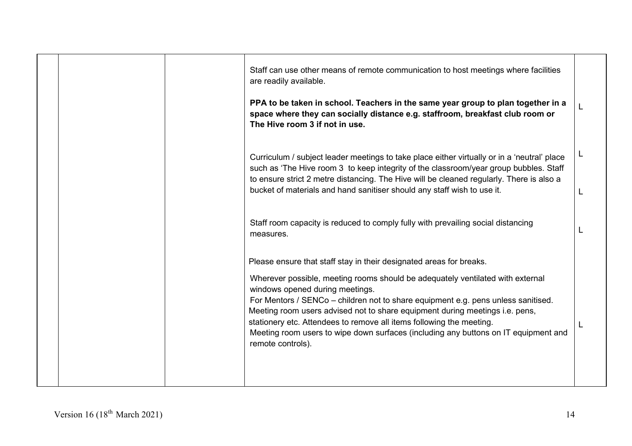|  | Staff can use other means of remote communication to host meetings where facilities<br>are readily available.<br>PPA to be taken in school. Teachers in the same year group to plan together in a<br>space where they can socially distance e.g. staffroom, breakfast club room or<br>The Hive room 3 if not in use.                                                                                                                                                                                                                              |  |
|--|---------------------------------------------------------------------------------------------------------------------------------------------------------------------------------------------------------------------------------------------------------------------------------------------------------------------------------------------------------------------------------------------------------------------------------------------------------------------------------------------------------------------------------------------------|--|
|  | Curriculum / subject leader meetings to take place either virtually or in a 'neutral' place<br>such as 'The Hive room 3 to keep integrity of the classroom/year group bubbles. Staff<br>to ensure strict 2 metre distancing. The Hive will be cleaned regularly. There is also a<br>bucket of materials and hand sanitiser should any staff wish to use it.                                                                                                                                                                                       |  |
|  | Staff room capacity is reduced to comply fully with prevailing social distancing<br>measures.                                                                                                                                                                                                                                                                                                                                                                                                                                                     |  |
|  | Please ensure that staff stay in their designated areas for breaks.<br>Wherever possible, meeting rooms should be adequately ventilated with external<br>windows opened during meetings.<br>For Mentors / SENCo - children not to share equipment e.g. pens unless sanitised.<br>Meeting room users advised not to share equipment during meetings i.e. pens,<br>stationery etc. Attendees to remove all items following the meeting.<br>Meeting room users to wipe down surfaces (including any buttons on IT equipment and<br>remote controls). |  |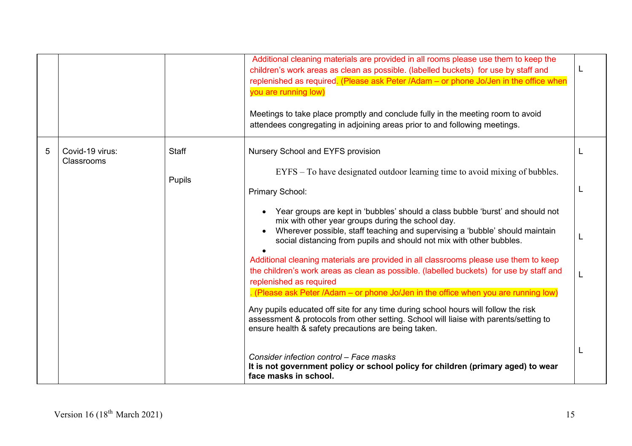|   |                               |              | Additional cleaning materials are provided in all rooms please use them to keep the<br>children's work areas as clean as possible. (labelled buckets) for use by staff and<br>replenished as required. (Please ask Peter /Adam - or phone Jo/Jen in the office when<br>you are running low)<br>Meetings to take place promptly and conclude fully in the meeting room to avoid<br>attendees congregating in adjoining areas prior to and following meetings. | L |
|---|-------------------------------|--------------|--------------------------------------------------------------------------------------------------------------------------------------------------------------------------------------------------------------------------------------------------------------------------------------------------------------------------------------------------------------------------------------------------------------------------------------------------------------|---|
| 5 | Covid-19 virus:<br>Classrooms | <b>Staff</b> | Nursery School and EYFS provision<br>EYFS – To have designated outdoor learning time to avoid mixing of bubbles.                                                                                                                                                                                                                                                                                                                                             |   |
|   |                               | Pupils       | Primary School:                                                                                                                                                                                                                                                                                                                                                                                                                                              |   |
|   |                               |              | Year groups are kept in 'bubbles' should a class bubble 'burst' and should not<br>mix with other year groups during the school day.<br>Wherever possible, staff teaching and supervising a 'bubble' should maintain<br>social distancing from pupils and should not mix with other bubbles.<br>Additional cleaning materials are provided in all classrooms please use them to keep                                                                          |   |
|   |                               |              | the children's work areas as clean as possible. (labelled buckets) for use by staff and<br>replenished as required                                                                                                                                                                                                                                                                                                                                           |   |
|   |                               |              | . (Please ask Peter /Adam – or phone Jo/Jen in the office when you are running low)<br>Any pupils educated off site for any time during school hours will follow the risk<br>assessment & protocols from other setting. School will liaise with parents/setting to<br>ensure health & safety precautions are being taken.                                                                                                                                    |   |
|   |                               |              | Consider infection control - Face masks<br>It is not government policy or school policy for children (primary aged) to wear<br>face masks in school.                                                                                                                                                                                                                                                                                                         |   |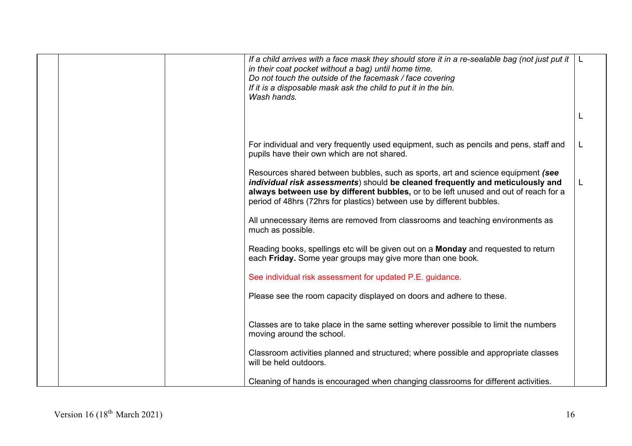|  | If a child arrives with a face mask they should store it in a re-sealable bag (not just put it $ L $<br>in their coat pocket without a bag) until home time.<br>Do not touch the outside of the facemask / face covering<br>If it is a disposable mask ask the child to put it in the bin.<br>Wash hands.                            |   |
|--|--------------------------------------------------------------------------------------------------------------------------------------------------------------------------------------------------------------------------------------------------------------------------------------------------------------------------------------|---|
|  |                                                                                                                                                                                                                                                                                                                                      | L |
|  | For individual and very frequently used equipment, such as pencils and pens, staff and<br>pupils have their own which are not shared.                                                                                                                                                                                                |   |
|  | Resources shared between bubbles, such as sports, art and science equipment (see<br>individual risk assessments) should be cleaned frequently and meticulously and<br>always between use by different bubbles, or to be left unused and out of reach for a<br>period of 48hrs (72hrs for plastics) between use by different bubbles. | L |
|  | All unnecessary items are removed from classrooms and teaching environments as<br>much as possible.                                                                                                                                                                                                                                  |   |
|  | Reading books, spellings etc will be given out on a Monday and requested to return<br>each Friday. Some year groups may give more than one book.                                                                                                                                                                                     |   |
|  | See individual risk assessment for updated P.E. guidance.                                                                                                                                                                                                                                                                            |   |
|  | Please see the room capacity displayed on doors and adhere to these.                                                                                                                                                                                                                                                                 |   |
|  | Classes are to take place in the same setting wherever possible to limit the numbers<br>moving around the school.                                                                                                                                                                                                                    |   |
|  | Classroom activities planned and structured; where possible and appropriate classes<br>will be held outdoors.                                                                                                                                                                                                                        |   |
|  | Cleaning of hands is encouraged when changing classrooms for different activities.                                                                                                                                                                                                                                                   |   |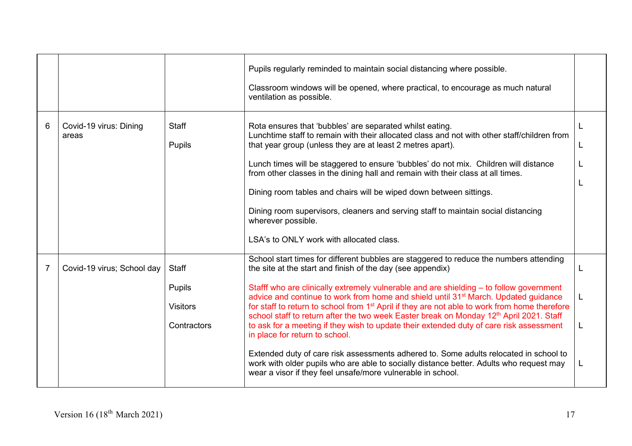|   |                                 |                                                          | Pupils regularly reminded to maintain social distancing where possible.<br>Classroom windows will be opened, where practical, to encourage as much natural<br>ventilation as possible.                                                                                                                                                                                                                                                                                                                                                                                                                                                                                                                                                                                                                                                                                                                                                     |  |
|---|---------------------------------|----------------------------------------------------------|--------------------------------------------------------------------------------------------------------------------------------------------------------------------------------------------------------------------------------------------------------------------------------------------------------------------------------------------------------------------------------------------------------------------------------------------------------------------------------------------------------------------------------------------------------------------------------------------------------------------------------------------------------------------------------------------------------------------------------------------------------------------------------------------------------------------------------------------------------------------------------------------------------------------------------------------|--|
| 6 | Covid-19 virus: Dining<br>areas | <b>Staff</b><br>Pupils                                   | Rota ensures that 'bubbles' are separated whilst eating.<br>Lunchtime staff to remain with their allocated class and not with other staff/children from<br>that year group (unless they are at least 2 metres apart).<br>Lunch times will be staggered to ensure 'bubbles' do not mix. Children will distance<br>from other classes in the dining hall and remain with their class at all times.<br>Dining room tables and chairs will be wiped down between sittings.<br>Dining room supervisors, cleaners and serving staff to maintain social distancing<br>wherever possible.<br>LSA's to ONLY work with allocated class.                                                                                                                                                                                                                                                                                                              |  |
| 7 | Covid-19 virus; School day      | <b>Staff</b><br>Pupils<br><b>Visitors</b><br>Contractors | School start times for different bubbles are staggered to reduce the numbers attending<br>the site at the start and finish of the day (see appendix)<br>Stafff who are clinically extremely vulnerable and are shielding – to follow government<br>advice and continue to work from home and shield until 31 <sup>st</sup> March. Updated guidance<br>for staff to return to school from 1 <sup>st</sup> April if they are not able to work from home therefore<br>school staff to return after the two week Easter break on Monday 12th April 2021. Staff<br>to ask for a meeting if they wish to update their extended duty of care risk assessment<br>in place for return to school.<br>Extended duty of care risk assessments adhered to. Some adults relocated in school to<br>work with older pupils who are able to socially distance better. Adults who request may<br>wear a visor if they feel unsafe/more vulnerable in school. |  |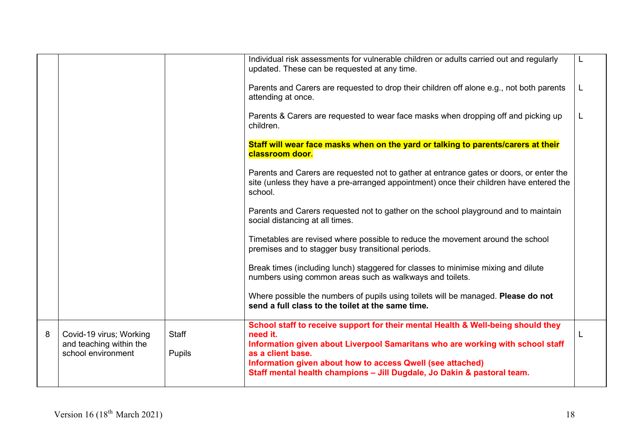|   |                                                    |              | Individual risk assessments for vulnerable children or adults carried out and regularly<br>updated. These can be requested at any time.                                                       |  |
|---|----------------------------------------------------|--------------|-----------------------------------------------------------------------------------------------------------------------------------------------------------------------------------------------|--|
|   |                                                    |              | Parents and Carers are requested to drop their children off alone e.g., not both parents<br>attending at once.                                                                                |  |
|   |                                                    |              | Parents & Carers are requested to wear face masks when dropping off and picking up<br>children.                                                                                               |  |
|   |                                                    |              | Staff will wear face masks when on the yard or talking to parents/carers at their<br>classroom door.                                                                                          |  |
|   |                                                    |              | Parents and Carers are requested not to gather at entrance gates or doors, or enter the<br>site (unless they have a pre-arranged appointment) once their children have entered the<br>school. |  |
|   |                                                    |              | Parents and Carers requested not to gather on the school playground and to maintain<br>social distancing at all times.                                                                        |  |
|   |                                                    |              | Timetables are revised where possible to reduce the movement around the school<br>premises and to stagger busy transitional periods.                                                          |  |
|   |                                                    |              | Break times (including lunch) staggered for classes to minimise mixing and dilute<br>numbers using common areas such as walkways and toilets.                                                 |  |
|   |                                                    |              | Where possible the numbers of pupils using toilets will be managed. Please do not<br>send a full class to the toilet at the same time.                                                        |  |
| 8 | Covid-19 virus; Working<br>and teaching within the | <b>Staff</b> | School staff to receive support for their mental Health & Well-being should they<br>need it.<br>Information given about Liverpool Samaritans who are working with school staff                |  |
|   | school environment                                 | Pupils       | as a client base.<br>Information given about how to access Qwell (see attached)<br>Staff mental health champions - Jill Dugdale, Jo Dakin & pastoral team.                                    |  |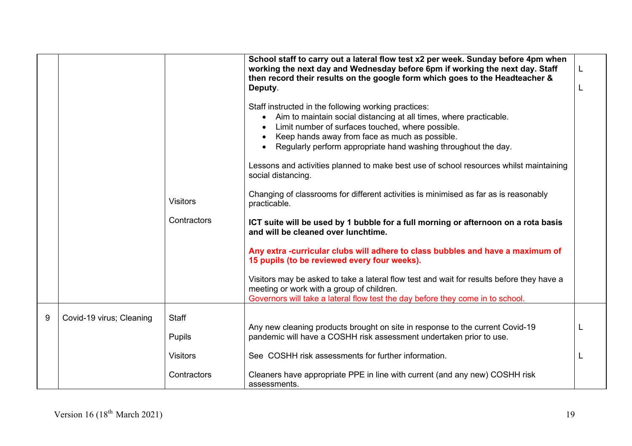|   |                          | <b>Visitors</b><br>Contractors | School staff to carry out a lateral flow test x2 per week. Sunday before 4pm when<br>working the next day and Wednesday before 6pm if working the next day. Staff<br>then record their results on the google form which goes to the Headteacher &<br>Deputy.<br>Staff instructed in the following working practices:<br>Aim to maintain social distancing at all times, where practicable.<br>Limit number of surfaces touched, where possible.<br>Keep hands away from face as much as possible.<br>Regularly perform appropriate hand washing throughout the day.<br>Lessons and activities planned to make best use of school resources whilst maintaining<br>social distancing.<br>Changing of classrooms for different activities is minimised as far as is reasonably<br>practicable.<br>ICT suite will be used by 1 bubble for a full morning or afternoon on a rota basis<br>and will be cleaned over lunchtime.<br>Any extra -curricular clubs will adhere to class bubbles and have a maximum of<br>15 pupils (to be reviewed every four weeks).<br>Visitors may be asked to take a lateral flow test and wait for results before they have a<br>meeting or work with a group of children.<br>Governors will take a lateral flow test the day before they come in to school. | L |
|---|--------------------------|--------------------------------|----------------------------------------------------------------------------------------------------------------------------------------------------------------------------------------------------------------------------------------------------------------------------------------------------------------------------------------------------------------------------------------------------------------------------------------------------------------------------------------------------------------------------------------------------------------------------------------------------------------------------------------------------------------------------------------------------------------------------------------------------------------------------------------------------------------------------------------------------------------------------------------------------------------------------------------------------------------------------------------------------------------------------------------------------------------------------------------------------------------------------------------------------------------------------------------------------------------------------------------------------------------------------------------|---|
| 9 | Covid-19 virus; Cleaning | Staff                          |                                                                                                                                                                                                                                                                                                                                                                                                                                                                                                                                                                                                                                                                                                                                                                                                                                                                                                                                                                                                                                                                                                                                                                                                                                                                                        |   |
|   |                          | Pupils                         | Any new cleaning products brought on site in response to the current Covid-19<br>pandemic will have a COSHH risk assessment undertaken prior to use.                                                                                                                                                                                                                                                                                                                                                                                                                                                                                                                                                                                                                                                                                                                                                                                                                                                                                                                                                                                                                                                                                                                                   |   |
|   |                          | <b>Visitors</b>                | See COSHH risk assessments for further information.                                                                                                                                                                                                                                                                                                                                                                                                                                                                                                                                                                                                                                                                                                                                                                                                                                                                                                                                                                                                                                                                                                                                                                                                                                    |   |
|   |                          | Contractors                    | Cleaners have appropriate PPE in line with current (and any new) COSHH risk<br>assessments.                                                                                                                                                                                                                                                                                                                                                                                                                                                                                                                                                                                                                                                                                                                                                                                                                                                                                                                                                                                                                                                                                                                                                                                            |   |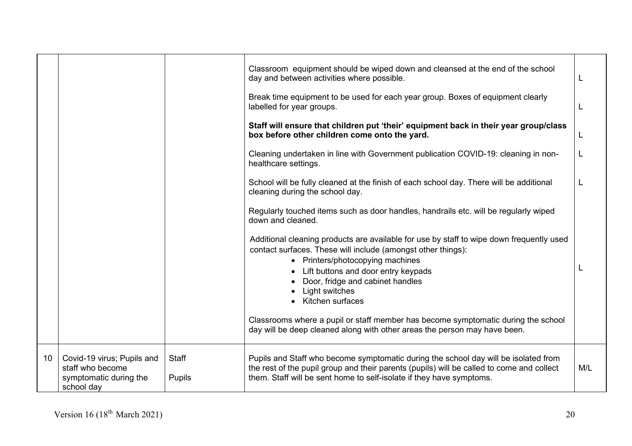|    |                                                                                        |                        | Classroom equipment should be wiped down and cleansed at the end of the school<br>day and between activities where possible.                                                                                                                                    |   |
|----|----------------------------------------------------------------------------------------|------------------------|-----------------------------------------------------------------------------------------------------------------------------------------------------------------------------------------------------------------------------------------------------------------|---|
|    |                                                                                        |                        | Break time equipment to be used for each year group. Boxes of equipment clearly<br>labelled for year groups.                                                                                                                                                    |   |
|    |                                                                                        |                        | Staff will ensure that children put 'their' equipment back in their year group/class<br>box before other children come onto the yard.                                                                                                                           | L |
|    |                                                                                        |                        | Cleaning undertaken in line with Government publication COVID-19: cleaning in non-<br>healthcare settings.                                                                                                                                                      |   |
|    |                                                                                        |                        | School will be fully cleaned at the finish of each school day. There will be additional<br>cleaning during the school day.                                                                                                                                      |   |
|    |                                                                                        |                        | Regularly touched items such as door handles, handrails etc. will be regularly wiped<br>down and cleaned.                                                                                                                                                       |   |
|    |                                                                                        |                        | Additional cleaning products are available for use by staff to wipe down frequently used<br>contact surfaces. These will include (amongst other things):<br>• Printers/photocopying machines<br>Lift buttons and door entry keypads                             |   |
|    |                                                                                        |                        | Door, fridge and cabinet handles<br>Light switches<br>Kitchen surfaces                                                                                                                                                                                          |   |
|    |                                                                                        |                        | Classrooms where a pupil or staff member has become symptomatic during the school<br>day will be deep cleaned along with other areas the person may have been.                                                                                                  |   |
| 10 | Covid-19 virus; Pupils and<br>staff who become<br>symptomatic during the<br>school day | Staff<br><b>Pupils</b> | Pupils and Staff who become symptomatic during the school day will be isolated from<br>the rest of the pupil group and their parents (pupils) will be called to come and collect<br>M/L<br>them. Staff will be sent home to self-isolate if they have symptoms. |   |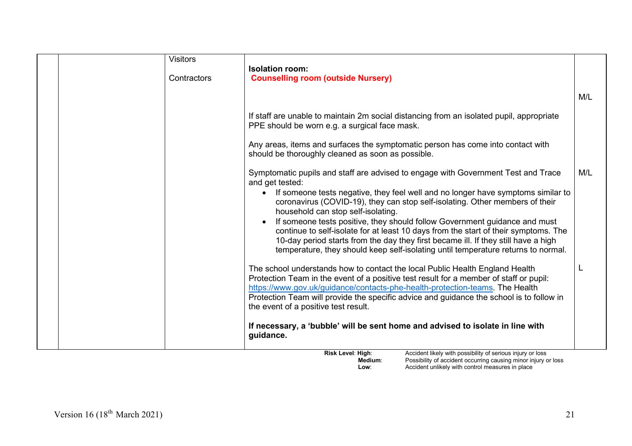| <b>Visitors</b> | <b>Isolation room:</b>                                                                                                                                                                                                                                                                                                                                                                                                                                                                                                                                                                                                                                         |     |
|-----------------|----------------------------------------------------------------------------------------------------------------------------------------------------------------------------------------------------------------------------------------------------------------------------------------------------------------------------------------------------------------------------------------------------------------------------------------------------------------------------------------------------------------------------------------------------------------------------------------------------------------------------------------------------------------|-----|
| Contractors     | <b>Counselling room (outside Nursery)</b>                                                                                                                                                                                                                                                                                                                                                                                                                                                                                                                                                                                                                      |     |
|                 |                                                                                                                                                                                                                                                                                                                                                                                                                                                                                                                                                                                                                                                                | M/L |
|                 | If staff are unable to maintain 2m social distancing from an isolated pupil, appropriate<br>PPE should be worn e.g. a surgical face mask.                                                                                                                                                                                                                                                                                                                                                                                                                                                                                                                      |     |
|                 | Any areas, items and surfaces the symptomatic person has come into contact with<br>should be thoroughly cleaned as soon as possible.                                                                                                                                                                                                                                                                                                                                                                                                                                                                                                                           |     |
|                 | Symptomatic pupils and staff are advised to engage with Government Test and Trace<br>and get tested:<br>If someone tests negative, they feel well and no longer have symptoms similar to<br>coronavirus (COVID-19), they can stop self-isolating. Other members of their<br>household can stop self-isolating.<br>If someone tests positive, they should follow Government guidance and must<br>continue to self-isolate for at least 10 days from the start of their symptoms. The<br>10-day period starts from the day they first became ill. If they still have a high<br>temperature, they should keep self-isolating until temperature returns to normal. | M/L |
|                 | The school understands how to contact the local Public Health England Health<br>Protection Team in the event of a positive test result for a member of staff or pupil:<br>https://www.gov.uk/guidance/contacts-phe-health-protection-teams. The Health<br>Protection Team will provide the specific advice and guidance the school is to follow in<br>the event of a positive test result.                                                                                                                                                                                                                                                                     |     |
|                 | If necessary, a 'bubble' will be sent home and advised to isolate in line with<br>guidance.                                                                                                                                                                                                                                                                                                                                                                                                                                                                                                                                                                    |     |

**Risk Level: High:** Accident likely with possibility of serious injury or loss **Medium:** Possibility of accident occurring causing minor injury or loss **Low**: **Conserve Accident unlikely with control measures in place**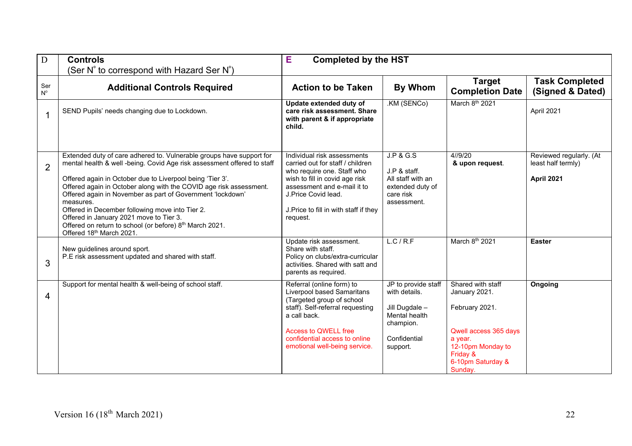| D                  | <b>Controls</b><br>(Ser $N^{\circ}$ to correspond with Hazard Ser $N^{\circ}$ )                                                                                                                                                                                                                                                                                                                                                                                                                                                                                | Е<br><b>Completed by the HST</b>                                                                                                                                                                                                            |                                                                                                                  |                                                                                                                                                           |                                                             |
|--------------------|----------------------------------------------------------------------------------------------------------------------------------------------------------------------------------------------------------------------------------------------------------------------------------------------------------------------------------------------------------------------------------------------------------------------------------------------------------------------------------------------------------------------------------------------------------------|---------------------------------------------------------------------------------------------------------------------------------------------------------------------------------------------------------------------------------------------|------------------------------------------------------------------------------------------------------------------|-----------------------------------------------------------------------------------------------------------------------------------------------------------|-------------------------------------------------------------|
| Ser<br>$N^{\circ}$ | <b>Additional Controls Required</b>                                                                                                                                                                                                                                                                                                                                                                                                                                                                                                                            | <b>Action to be Taken</b>                                                                                                                                                                                                                   | <b>By Whom</b>                                                                                                   | <b>Target</b><br><b>Completion Date</b>                                                                                                                   | <b>Task Completed</b><br>(Signed & Dated)                   |
| 1                  | SEND Pupils' needs changing due to Lockdown.                                                                                                                                                                                                                                                                                                                                                                                                                                                                                                                   | Update extended duty of<br>care risk assessment. Share<br>with parent & if appropriate<br>child.                                                                                                                                            | .KM (SENCo)                                                                                                      | March 8th 2021                                                                                                                                            | April 2021                                                  |
| $\overline{2}$     | Extended duty of care adhered to. Vulnerable groups have support for<br>mental health & well -being. Covid Age risk assessment offered to staff<br>Offered again in October due to Liverpool being 'Tier 3'.<br>Offered again in October along with the COVID age risk assessment.<br>Offered again in November as part of Government 'lockdown'<br>measures.<br>Offered in December following move into Tier 2.<br>Offered in January 2021 move to Tier 3.<br>Offered on return to school (or before) 8 <sup>th</sup> March 2021.<br>Offered 18th March 2021. | Individual risk assessments<br>carried out for staff / children<br>who require one. Staff who<br>wish to fill in covid age risk<br>assessment and e-mail it to<br>J.Price Covid lead.<br>J. Price to fill in with staff if they<br>request. | <b>J.P &amp; G.S</b><br>J.P & staff.<br>All staff with an<br>extended duty of<br>care risk<br>assessment.        | 4//9/20<br>& upon request.                                                                                                                                | Reviewed regularly. (At<br>least half termly)<br>April 2021 |
| 3                  | New guidelines around sport.<br>P.E risk assessment updated and shared with staff.                                                                                                                                                                                                                                                                                                                                                                                                                                                                             | Update risk assessment.<br>Share with staff.<br>Policy on clubs/extra-curricular<br>activities. Shared with satt and<br>parents as required.                                                                                                | L.C/R.F                                                                                                          | March 8th 2021                                                                                                                                            | <b>Easter</b>                                               |
| $\overline{4}$     | Support for mental health & well-being of school staff.                                                                                                                                                                                                                                                                                                                                                                                                                                                                                                        | Referral (online form) to<br>Liverpool based Samaritans<br>(Targeted group of school<br>staff). Self-referral requesting<br>a call back.<br><b>Access to QWELL free</b><br>confidential access to online<br>emotional well-being service.   | JP to provide staff<br>with details.<br>Jill Dugdale -<br>Mental health<br>champion.<br>Confidential<br>support. | Shared with staff<br>January 2021.<br>February 2021.<br>Qwell access 365 days<br>a year.<br>12-10pm Monday to<br>Friday &<br>6-10pm Saturday &<br>Sunday. | Ongoing                                                     |